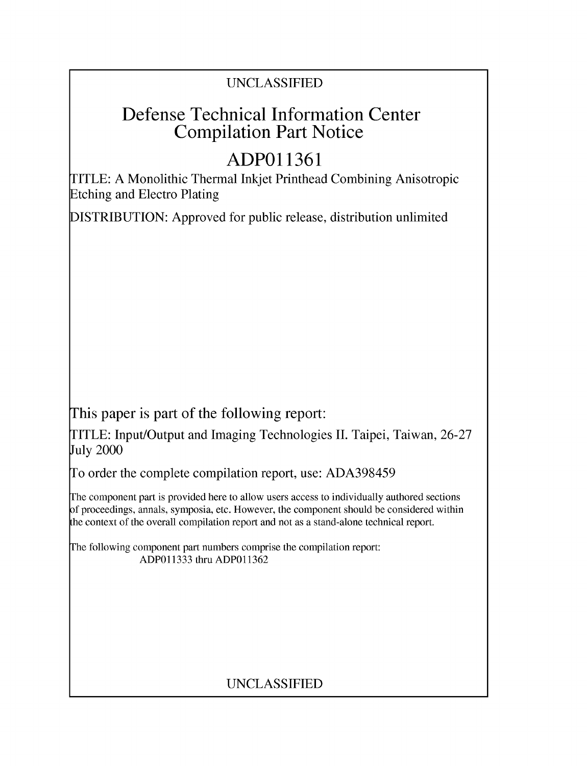### UNCLASSIFIED

## Defense Technical Information Center Compilation Part Notice

# **ADPO11361**

TITLE: A Monolithic Thermal Inkjet Printhead Combining Anisotropic Etching and Electro Plating

DISTRIBUTION: Approved for public release, distribution unlimited

This paper is part of the following report:

TITLE: Input/Output and Imaging Technologies II. Taipei, Taiwan, 26-27 July 2000

To order the complete compilation report, use: ADA398459

The component part is provided here to allow users access to individually authored sections f proceedings, annals, symposia, etc. However, the component should be considered within [he context of the overall compilation report and not as a stand-alone technical report.

The following component part numbers comprise the compilation report: ADP011333 thru ADP011362

## UNCLASSIFIED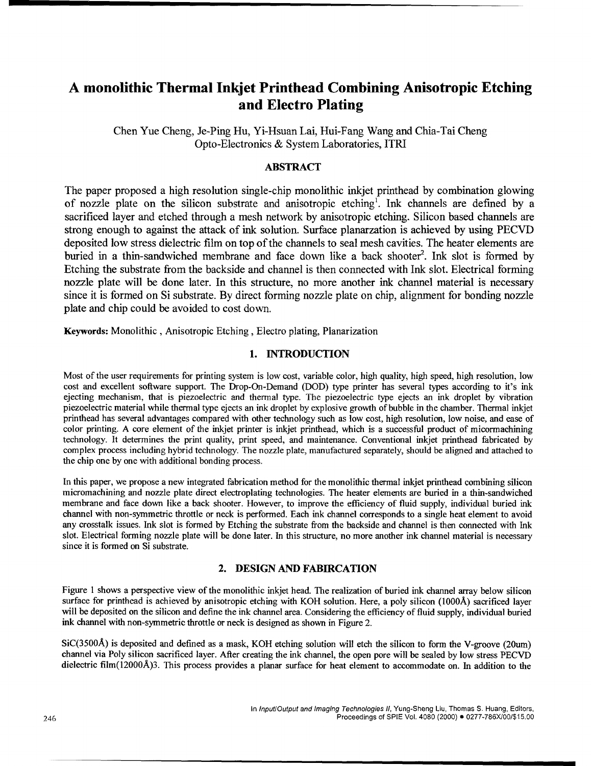### **A** monolithic Thermal Inkjet Printhead Combining Anisotropic Etching and Electro Plating

Chen Yue Cheng, Je-Ping Hu, Yi-Hsuan Lai, Hui-Fang Wang and Chia-Tai Cheng Opto-Electronics & System Laboratories, ITRI

#### ABSTRACT

The paper proposed a high resolution single-chip monolithic inkjet printhead by combination glowing of nozzle plate on the silicon substrate and anisotropic etching'. Ink channels are defined by a sacrificed layer and etched through a mesh network by anisotropic etching. Silicon based channels are strong enough to against the attack of ink solution. Surface planarzation is achieved by using PECVD deposited low stress dielectric film on top of the channels to seal mesh cavities. The heater elements are buried in a thin-sandwiched membrane and face down like a back shooter<sup>2</sup>. Ink slot is formed by Etching the substrate from the backside and channel is then connected with Ink slot. Electrical forming nozzle plate will be done later. In this structure, no more another ink channel material is necessary since it is formed on Si substrate. By direct forming nozzle plate on chip, alignment for bonding nozzle plate and chip could be avoided to cost down.

Keywords: Monolithic, Anisotropic Etching, Electro plating, Planarization

#### **1.** INTRODUCTION

Most of the user requirements for printing system is low cost, variable color, high quality, high speed, high resolution, low cost and excellent software support. The Drop-On-Demand (DOD) type printer has several types according to it's ink ejecting mechanism, that is piezoelectric and thermal type. The piezoelectric type ejects an ink droplet by vibration piezoelectric material while thermal type ejects an ink droplet by explosive growth of bubble in the chamber. Thermal inkjet printhead has several advantages compared with other technology such as low cost, high resolution, low noise, and ease of color printing. A core element of the inkjet printer is inkjet printhead, which is a successful product of micormachining technology. It determines the print quality, print speed, and maintenance. Conventional inkjet printhead fabricated by complex process including hybrid technology. The nozzle plate, manufactured separately, should be aligned and attached to the chip one by one with additional bonding process.

In this paper, we propose a new integrated fabrication method for the monolithic thermal inkjet printhead combining silicon micromachining and nozzle plate direct electroplating technologies. The heater elements are buried in a thin-sandwiched membrane and face down like a back shooter. However, to improve the efficiency of fluid supply, individual buried ink channel with non-symmetric throttle or neck is performed. Each ink channel corresponds to a single heat element to avoid any crosstalk issues. Ink slot is formed by Etching the substrate from the backside and channel is then connected with Ink slot. Electrical forming nozzle plate will be done later. In this structure, no more another ink channel material is necessary since it is formed on Si substrate.

#### 2. **DESIGN AND** FABIRCATION

Figure 1 shows a perspective view of the monolithic inkjet head. The realization of buried ink channel array below silicon surface for printhead is achieved by anisotropic etching with KOH solution. Here, a poly silicon **(1000A)** sacrificed layer will be deposited on the silicon and define the ink channel area. Considering the efficiency of fluid supply, individual buried ink channel with non-symmetric throttle or neck is designed as shown in Figure 2.

SiC(3500A) is deposited and defined as a mask, KOH etching solution will etch the silicon to form the V-groove (20um) channel via Poly silicon sacrificed layer. After creating the ink channel, the open pore will be sealed by low stress PECVD dielectric film(12000Å)3. This process provides a planar surface for heat element to accommodate on. In addition to the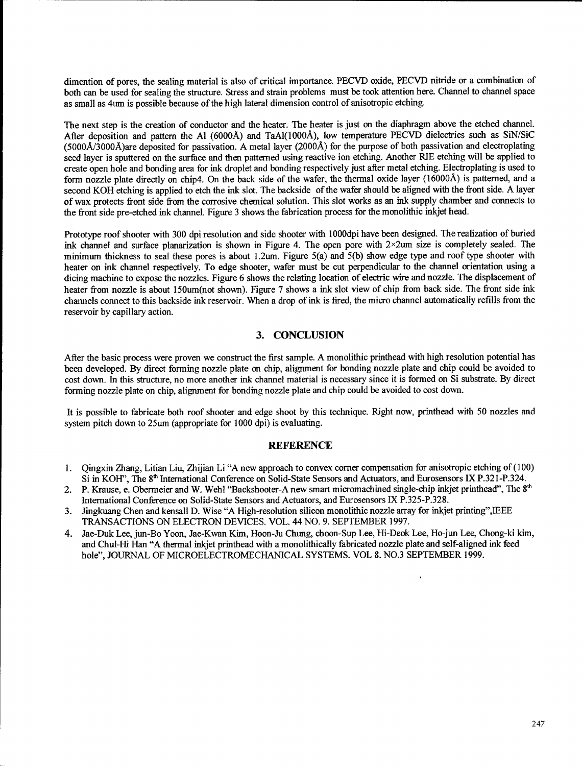dimention of pores, the sealing material is also of critical importance. PECVD oxide, PECVD nitride or a combination of both can be used for sealing the structure. Stress and strain problems must be took attention here. Channel to channel space as small as 4um is possible because of the high lateral dimension control of anisotropic etching.

The next step is the creation of conductor and the heater. The heater is just on the diaphragm above the etched channel. After deposition and pattern the **Al** (6000A) and TaAI(1000A), low temperature PECVD dielectrics such as SiN/SiC (5000A/3000A)are deposited for passivation. A metal layer (2000A) for the purpose of both passivation and electroplating seed layer is sputtered on the surface and then patterned using reactive ion etching. Another RIE etching will be applied to create open hole and bonding area for ink droplet and bonding respectively just after metal etching. Electroplating is used to form nozzle plate directly on chip4. On the back side of the wafer, the thermal oxide layer (16000Å) is patterned, and a second KOH etching is applied to etch the ink slot. The backside of the wafer should be aligned with the front side. A layer of wax protects front side from the corrosive chemical solution. This slot works as an ink supply chamber and connects to the front side pre-etched ink channel. Figure 3 shows the fabrication process for the monolithic inkjet head.

Prototype roof shooter with 300 dpi resolution and side shooter with 1000dpi have been designed. The realization of buried ink channel and surface planarization is shown in Figure 4. The open pore with 2x2um size is completely sealed. The minimum thickness to seal these pores is about 1.2um. Figure 5(a) and 5(b) show edge type and roof type shooter with heater on ink channel respectively. To edge shooter, wafer must be cut perpendicular to the channel orientation using a dicing machine to expose the nozzles. Figure 6 shows the relating location of electric wire and nozzle. The displacement of heater from nozzle is about 150um(not shown). Figure 7 shows a ink slot view of chip from back side. The front side ink channels connect to this backside ink reservoir. When a drop of ink is fired, the micro channel automatically refills from the reservoir by capillary action.

#### **3. CONCLUSION**

After the basic process were proven we construct the first sample. **A** monolithic printhead with high resolution potential has been developed. By direct forming nozzle plate on chip, alignment for bonding nozzle plate and chip could be avoided to cost down. In this structure, no more another ink channel material is necessary since it is formed on Si substrate. By direct forming nozzle plate on chip, alignment for bonding nozzle plate and chip could be avoided to cost down.

It is possible to fabricate both roof shooter and edge shoot by this technique. Right now, printhead with 50 nozzles and system pitch down to 25um (appropriate for 1000 dpi) is evaluating.

#### **REFERENCE**

- 1. Qingxin Zhang, Litian Liu, Zhijian Li "A new approach to convex corner compensation for anisotropic etching of (100) Si in KOH", The 8<sup>th</sup> International Conference on Solid-State Sensors and Actuators, and Eurosensors IX P.321-P.324.
- 2. P. Krause, e. Obermeier and W. Wehl "Backshooter-A new smart micromachined single-chip inkjet printhead", The **8t'** International Conference on Solid-State Sensors and Actuators, and Eurosensors IX P.325-P.328.
- 3. Jingkuang Chen and kensall D. Wise "A High-resolution silicon monolithic nozzle array for inkjet printing",IEEE TRANSACTIONS ON ELECTRON DEVICES. VOL. 44 NO. 9. SEPTEMBER 1997.
- 4. Jae-Duk Lee, jun-Bo Yoon, Jae-Kwan Kim, Hoon-Ju Chung, choon-Sup Lee, Hi-Deok Lee, Ho-jun Lee, Chong-ki kim, and Chul-Hi Han "A thermal inkjet printhead with a monolithically fabricated nozzle plate and self-aligned ink feed hole", JOURNAL OF MICROELECTROMECHANICAL SYSTEMS. VOL 8. NO.3 SEPTEMBER 1999.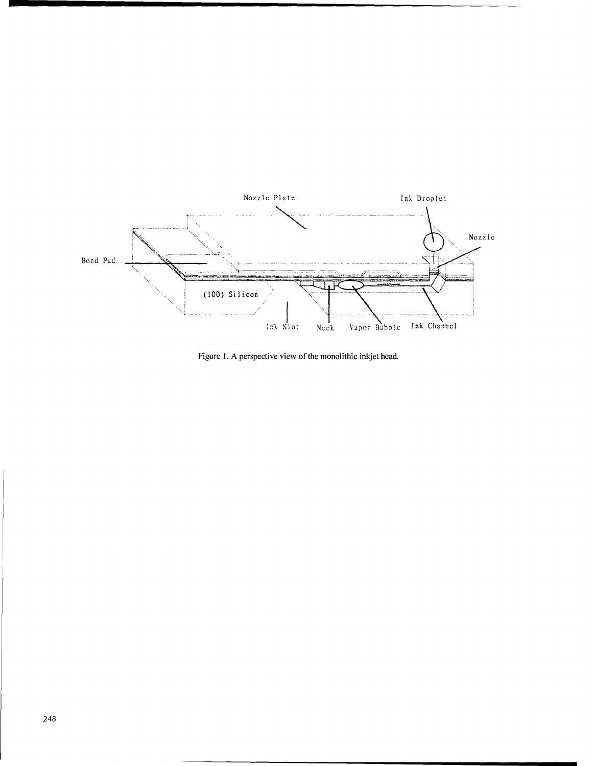

Figure 1. A perspective view of the monolithic inkjet head.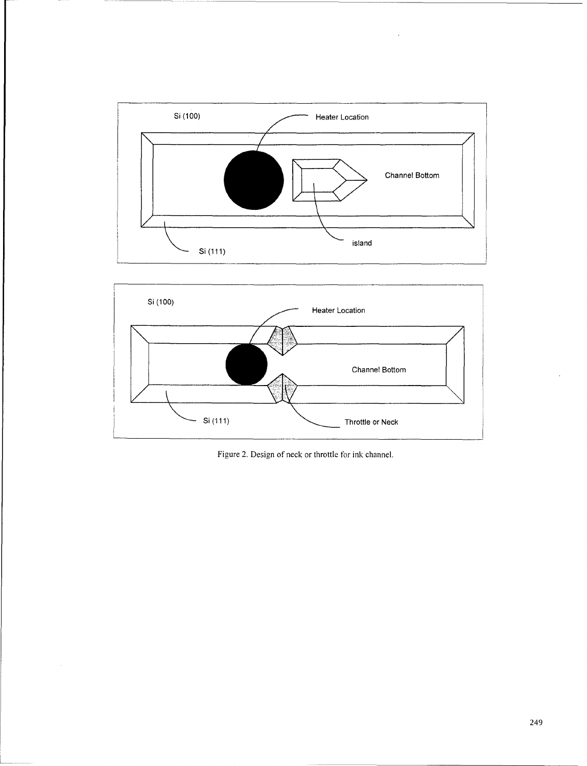

 $\hat{\boldsymbol{\theta}}$ 



Figure 2. Design of neck or throttle for ink channel.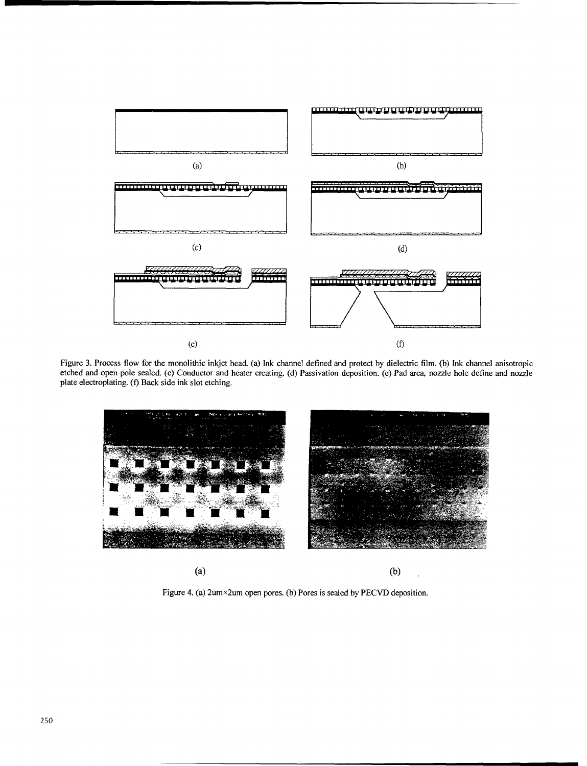

Figure 3. Process flow for the monolithic inkjet head. (a) Ink channel defined and protect by dielectric film. (b) Ink channel anisotropic etched and open pole sealed. (c) Conductor and heater creating. (d) Passivation deposition. (e) Pad area, nozzle hole define and nozzle plate electroplating. (f) Back side ink slot etching.



Figure 4. (a) 2um×2um open pores. (b) Pores is sealed by PECVD deposition.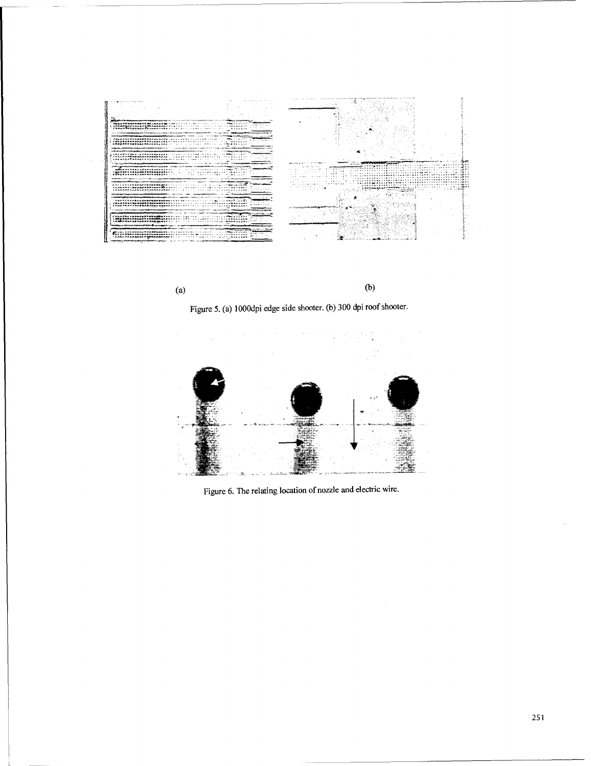



Figure 5. (a) 10OOdpi edge side shooter. (b) 300 dpi roof shooter.



Figure 6. The relating location of nozzle and electric wire.